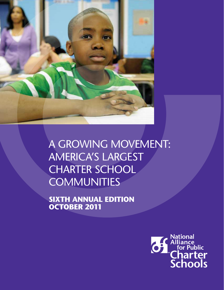

A Growing Movement: America's Largest **CHARTER SCHOOL COMMUNITIES** 

**Sixth Annual Edition October 2011**

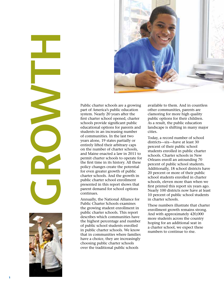

Public charter schools are a growing part of America's public education system. Nearly 20 years after the first charter school opened, charter schools provide significant public educational options for parents and students in an increasing number of communities. In the last two years alone, 19 states partially or entirely lifted their arbitrary caps on the number of charter schools, and Maine enacted a law in 2011 to permit charter schools to operate for the first time in its history. All these policy changes create the potential for even greater growth of public charter schools. And the growth in public charter school enrollment presented in this report shows that parent demand for school options continues.

Annually, the National Alliance for Public Charter Schools examines the growing student enrollment in public charter schools. This report describes which communities have the highest percentage and number of public school students enrolled in public charter schools. We know that in communities where families have a choice, they are increasingly choosing public charter schools over the traditional public schools

available to them. And in countless other communities, parents are clamoring for more high quality public options for their children. As a result, the public education landscape is shifting in many major cities.

Today, a record number of school districts—six—have at least 30 percent of their public school students enrolled in public charter schools. Charter schools in New Orleans enroll an astounding 70 percent of public school students. Additionally, 18 school districts have 20 percent or more of their public school students enrolled in charter schools, eleven more than when we first printed this report six years ago. Nearly 100 districts now have at least 10 percent of public school students in charter schools.

These numbers illustrate that charter enrollment growth remains strong. And with approximately 420,000 more students across the country hoping for an additional seat in a charter school, we expect these numbers to continue to rise.

**GROWTHE**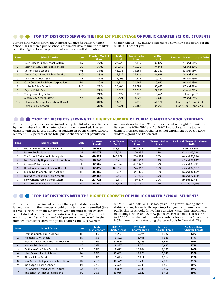#### **"Top 10" Districts Serving the Highest Percentage of Public Charter School Students**

For the sixth year in a row, the National Alliance for Public Charter Schools has gathered public school enrollment data to find the markets with the highest local proportions of students enrolled in public

charter schools. The market share table below shows the results for the 2010-2011 school year.

| Rank | <b>School District</b>                   | <b>State</b> | <b>Charter Market</b><br><b>Share</b> | <b>Charter</b><br><b>Enroll</b> | <b>Non-Charter</b><br>Enroll | <b>Total District</b><br><b>Enroll</b> | <b>Rank and Market Share in 2010</b> |
|------|------------------------------------------|--------------|---------------------------------------|---------------------------------|------------------------------|----------------------------------------|--------------------------------------|
|      | New Orleans Public School System         | LA           | <b>70%</b>                            | 27,728                          | 12,149                       | 39,877                                 | #1 and 61%                           |
| 2.   | District of Columbia Public Schools      | <b>DC</b>    | 39%                                   | 29,366                          | 45,630                       | 74,996                                 | #2 and 38%                           |
| 3.   | Detroit Public Schools                   | MI           | 37%                                   | 45,073                          | 75,264                       | 120,337                                | #3 and 33%                           |
| 4.   | Kansas City, Missouri School District    | <b>MO</b>    | 35%                                   | 9,312                           | 17,326                       | 26,638                                 | #4 and 32%                           |
| 5.   | Flint City School District               | MI           | 32%                                   | 5,008                           | 10,557                       | 15,565                                 | #6 and 28%                           |
| 6.   | <b>Gary Community School Corporation</b> | IN           | 30%                                   | 4,834                           | 11,161                       | 15,995                                 | #6 and 28%                           |
| 7.   | St. Louis Public Schools                 | <b>MO</b>    | 29%                                   | 10,406                          | 25,084                       | 35,490                                 | #7 and 27%                           |
| 8.   | <b>Dayton Public Schools</b>             | OH           | 27%                                   | 5,995                           | 16,256                       | 22,251                                 | #5 and 29%                           |
| 9.   | Youngstown City Schools                  | <b>OH</b>    | 24%                                   | 2,527                           | 8,128                        | 10,655                                 | Not in Top 10 <sup>ii</sup>          |
| 10.  | <b>Albany City School District</b>       | <b>NY</b>    | 23%                                   | 2,421                           | 8,228                        | 10,649                                 | #9 and 24%                           |
|      | Cleveland Metropolitan School District   | OH           | <b>23%</b>                            | 14,310                          | 46,818                       | 61,128                                 | Not in Top 10 and 21%                |
|      | <b>Toledo Public Schools</b>             | OH           | 23%                                   | 7,721                           | 26,488                       | 34,209                                 | Not in Top 10 and 22%                |

#### **"Top 10" Districts Serving the Highest Number of Public Charter School Students**

For the third year in a row, we include a top ten list of school districts by the number of public charter school students enrolled. The ten districts with the largest number of students in public charter schools represent 21.7 percent of the total public charter school population

nationwide—a total of 395,555 students out of roughly 1.8 million. Between the 2009-2010 and 2010-2011 school years, the top ten districts increased public charter school enrollment by over 42,000 students (growth of 12 percent).

| Rank | <b>School District</b>                | <b>State</b> | <b>Charter</b><br><b>Enroll</b> | Non-Charter<br>Enroll | <b>Total District</b><br>Enroll | <b>Charter Market</b><br><b>Share</b> | <b>Rank and Charter Enrollment</b><br>in 2010 |
|------|---------------------------------------|--------------|---------------------------------|-----------------------|---------------------------------|---------------------------------------|-----------------------------------------------|
|      | Los Angeles Unified School District   | CA           | 79.385                          | 588.824               | 668.209                         | 12%                                   | #1 and 66,809iii                              |
| 2.   | Detroit Public Schools                | MI           | 45,073                          | 75,264                | 120,337                         | 37%                                   | #2 and 45,036                                 |
| 3.   | The School District of Philadelphia   | PA           | 40.322                          | 166,272               | 206.594                         | 20%                                   | #4 and 33,916                                 |
| 4.   | New York City Department of Education | <b>NY</b>    | 38.743                          | 973,210               | 1.011.953                       | 4%                                    | #7 and 30,049                                 |
| 5.   | Chicago Public Schools                | IL.          | 37.909                          | 365.069               | 402.978                         | 9%                                    | #5 and 33,711                                 |
| 6.   | Houston Independent School District   | <b>TX</b>    | 37.499                          | 188,553               | 226,052                         | 17%                                   | #3 and 34,567                                 |
| 7.   | Miami-Dade County Public Schools      | FL           | 35.380                          | 312.026               | 347.406                         | 10%                                   | #6 and 30,859                                 |
| 8.   | District of Columbia Public Schools   | DC           | 29,366                          | 45,630                | 74.996                          | 39%                                   | #8 and 27,660                                 |
| 9.   | New Orleans Public School System      | LA           | 27.728                          | 12.149                | 39.877                          | 70%                                   | #9 and 22,481                                 |
| 10.  | <b>Broward County Public Schools</b>  | <b>FL</b>    | 24,150                          | 232.981               | 257.131                         | 9%                                    | #10 and 21,603                                |

#### **"TOP 10" DISTRICTS WITH THE HIGHEST GROWTH OF PUBLIC CHARTER SCHOOL STUDENTS**

For the first time, we include a list of the top ten districts with the largest growth in the number of public charter students enrolled (this list was selected from the 50 districts with the most public charter school students enrolled; *see the districts in Appendix B*). The districts on this top ten list all had nearly 20 percent or more growth in the number of students attending public charter schools between the

2009-2010 and 2010-2011 school years. The growth among these districts is largely due to the opening of a significant number of new public charter schools. In two large districts, expanding enrollment in existing schools and 27 new public charter schools each resulted in 12,567 more students attending charter schools in Los Angeles and 8,694 more students attending charter schools in New York City.

| Rank | <b>School District</b>                  | <b>State</b> | <b>Charter</b><br><b>Market Share</b> | 2009-2010<br><b>Charter Enroll</b> | 2010-2011<br><b>Charter Enroll</b> | <b>Increase in</b><br><b>Charter Enroll</b> | % Growth in<br><b>Charter Enroll</b> |
|------|-----------------------------------------|--------------|---------------------------------------|------------------------------------|------------------------------------|---------------------------------------------|--------------------------------------|
| ι.   | Orange County Public Schools            | FL           | 3%                                    | 4,207                              | 5,994                              | 1.787                                       | 42%                                  |
| 2.   | Memphis City Schools                    | <b>TN</b>    | 5%                                    | 3,822                              | 5,405                              | 1,583                                       | 41%                                  |
| 3.   | New York City Department of Education   | <b>NY</b>    | 4%                                    | 30,049                             | 38,743                             | 8,694                                       | 29%                                  |
| 4.   | Mesa Public Schools                     | AZ           | 16%                                   | 9,877                              | 12,574                             | 2,697                                       | 27%                                  |
| 5.   | <b>Baltimore City Public Schools</b>    | <b>MD</b>    | 13%                                   | 8,472                              | 10,704                             | 2,232                                       | 26%                                  |
| 6.   | New Orleans Public Schools              | LA           | 70%                                   | 22,481                             | 27,728                             | 5,247                                       | 23%                                  |
| 7.   | Alpine School District                  | UT           | 9%                                    | 5,495                              | 6,711                              | 1,216                                       | 22%                                  |
| 8.   | San Antonio Independent School District | <b>TX</b>    | 21%                                   | 10,529                             | 12,730                             | 2,201                                       | 21%                                  |
| 9.   | Indianapolis Public Schools             | IN           | 22%                                   | 7,675                              | 9,238                              | 1,563                                       | 20%                                  |
| 10.  | Los Angeles Unified School District     | CA           | 12%                                   | 66,809                             | 79,385                             | 12,567                                      | 19%                                  |
|      | The School District of Philadelphia     | PA           | 20%                                   | 33,916                             | 40,322                             | 6,406                                       | 19%                                  |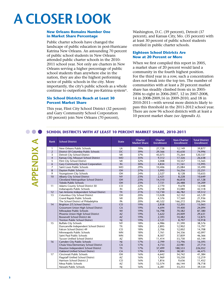### **A Closer Look**

#### **New Orleans Remains Number One in Market Share Percentage**

Public charter schools have changed the landscape of public education in post-Hurricane Katrina New Orleans. An astounding 70 percent of public school students in New Orleans attended public charter schools in the 2010- 2011 school year. Not only are charters in New Orleans serving a higher percentage of public school students than anywhere else in the nation, they are also the highest performing sector of public schools in the city. More importantly, the city's public schools as a whole continue to outperform the pre-Katrina systemiv.

#### **Six School Districts Reach at Least 30 Percent Market Share**

This year, Flint City School District (32 percent) and Gary Community School Corporation (30 percent) join New Orleans (70 percent),

Washington, D.C. (39 percent), Detroit (37 percent), and Kansas City, Mo. (35 percent) with at least 30 percent of public school students enrolled in public charter schools.

#### **Eighteen School Districts Are Now at 20 Percent or More**

When we first compiled this report in 2005, a market share of 20 percent would land a community in the fourth highest position. For the third year in a row, such a concentration does not break into the top ten. The number of communities with at least a 20 percent market share has steadily climbed from six in 2005- 2006 to eight in 2006-2007, 12 in 2007-2008, 14 in 2008-2009,16 in 2009-2010, and 18 in 2010-2011—with several more districts likely to pass this threshold in the 2011-2012 school year. There are now 96 school districts with at least a 10 percent market share *(see Appendix A)*.

#### **School Districts with at Least 10 PERCENT Market Share, 2010-2011**

| Rank           | <b>School District</b>                   | <b>State</b>   | Charter<br><b>Market Share</b> | <b>Charter</b><br><b>Enrollment</b> | <b>Non-Charter</b><br><b>Enrollment</b> | <b>Total District</b><br><b>Enrollment</b> |
|----------------|------------------------------------------|----------------|--------------------------------|-------------------------------------|-----------------------------------------|--------------------------------------------|
| 1              | New Orleans Public Schools               | LA             | 70%                            | 27,728                              | 12,149                                  | 39,877                                     |
| $\overline{2}$ | District Of Columbia Public Schools      | DC             | 39%                            | 29,366                              | 45,630                                  | 74,996                                     |
| 3              | Detroit City School District             | MI             | 37%                            | 45,073                              | 75,264                                  | 120,337                                    |
| $\overline{4}$ | Kansas City, Missouri School District    | <b>MO</b>      | 35%                            | 9,312                               | 17,326                                  | 26,638                                     |
| 5              | Flint City School District               | MI             | 32%                            | 5,008                               | 10,557                                  | 15,565                                     |
| 6              | <b>Gary Community School Corporation</b> | IN             | 30%                            | 4,834                               | 11,161                                  | 15,995                                     |
| 7              | Saint Louis Public Schools               | <b>MO</b>      | 29%                            | 10,406                              | 25,084                                  | 35,490                                     |
| 8              | Davton Public Schools                    | OH             | 27%                            | 5,995                               | 16,256                                  | 22,251                                     |
| 9              | Youngstown City Schools                  | OH             | 24%                            | 2,527                               | 8,128                                   | 10,655                                     |
| 10             | Albany City School District              | <b>NY</b>      | 23%                            | 2,421                               | 8,228                                   | 10,649                                     |
|                | Cleveland Metropolitan School District   | OH             | 23%                            | 14,310                              | 46,818                                  | 61,128                                     |
|                | <b>Toledo Public Schools</b>             | OH             | 23%                            | 7,721                               | 26,488                                  | 34,209                                     |
| 11             | Adams County School District 50          | CO             | 22%                            | 2,770                               | 9,678                                   | 12,448                                     |
|                | Indianapolis Public Schools              | IN             | 22%                            | 9,238                               | 33,080                                  | 42,318                                     |
| 12             | San Antonio Independent School District  | <b>TX</b>      | 21%                            | 12,730                              | 46,782                                  | 59,512                                     |
| 13             | Columbus City School District            | OH             | 20%                            | 13,028                              | 52,102                                  | 65,129                                     |
|                | <b>Grand Rapids Public Schools</b>       | MI             | 20%                            | 4,376                               | 17,560                                  | 21,936                                     |
|                | The School District of Philadelphia      | PA             | 20%                            | 40,322                              | 166,272                                 | 206,594                                    |
| 14             | Brighton 27J School District             | CO             | 19%                            | 2,858                               | 12,205                                  | 15,063                                     |
|                | Grossmont Union High School District     | CA             | 19%                            | 4,694                               | 19,400                                  | 24,094                                     |
|                | Milwaukee Public Schools                 | WI             | 19%                            | 16,798                              | 70,582                                  | 87,380                                     |
|                | Phoenix Union High School District       | AZ             | 19%                            | 5,622                               | 24,009                                  | 29,631                                     |
|                | Roosevelt School District 66             | AZ             | 19%                            | 2,393                               | 10,482                                  | 12,875                                     |
|                | Trenton Public School District           | N              | 19%                            | 2,121                               | 8,797                                   | 10,918                                     |
| 15             | <b>Buffalo City Schools</b>              | <b>NY</b>      | 18%                            | 6,986                               | 31,590                                  | 38,576                                     |
|                | Duncanville Independent School District  | <b>TX</b>      | 18%                            | 2,895                               | 12,902                                  | 15,797                                     |
|                | Falcon School District 49                | CO             | 18%                            | 2,706                               | 12,002                                  | 14,708                                     |
|                | Minneapolis Public Schools               | <b>MN</b>      | 18%                            | 7,761                               | 34,336                                  | 42,097                                     |
|                | Saint Paul Public Schools                | <b>MN</b>      | 18%                            | 8,507                               | 37,859                                  | 46,366                                     |
|                | Tucson Unified School District           | AZ             | 18%                            | 11,414                              | 53,730                                  | 65,144                                     |
| 16             | Camden City Public Schools               | <b>NJ</b>      | 17%                            | 2,799                               | 13,796                                  | 16,595                                     |
|                | Chula Vista Elementary School District   | CA             | 17%                            | 4,733                               | 22,981                                  | 27,714                                     |
|                | Houston Independent School District      | <b>TX</b>      | 17%                            | 37,499                              | 188,553                                 | 226,052                                    |
|                | Oakland Unified School District          | CA             | 17%                            | 7,894                               | 38,581                                  | 46,475                                     |
| 17             | Cincinnati Public Schools                | OH             | 16%                            | 6,642                               | 34,742                                  | 41,384                                     |
|                | Flagstaff Unified School District        | <b>AZ</b>      | 16%                            | 1,969                               | 10,250                                  | 12,219                                     |
|                | Harrison School District 2               | CO             | 16%                            | 1,816                               | 9,636                                   | 11,452                                     |
|                | Mesa Public Schools                      | AZ             | 16%                            | 12,574                              | 66,144                                  | 78,718                                     |
|                | Newark Public Schools                    | N <sub>l</sub> | 16%                            | 6,281                               | 33,253                                  | 39,534                                     |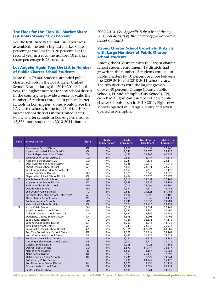#### **The Floor for the "Top 10" Market Share List Holds Steady at 23 Percent**

For the first three years that this report was assembled, the tenth highest market share percentage was less than 20 percent. For the second year in a row, the number 10 market share percentage is 23 percent.

#### **Los Angeles Again Tops the List in Number of Public Charter School Students**

More than 79,000 students attended public charter schools in the Los Angeles Unified School District during the 2010-2011 school year, the highest number for any school district in the country. To provide a sense of scale, the number of students enrolled in public charter schools in Los Angeles, alone, would place the LA charter schools in the top 45 of the 100 largest school districts in the United States<sup>v</sup>. Public charter schools in Los Angeles enrolled 12,576 more students in 2010-2011 than in

2009-2010. *(See Appendix B for a list of the top 50 school districts by the number of public charter school students.)*

#### **Strong Charter School Growth in Districts with Large Numbers of Public Charter School Students**

Among the 50 districts with the largest charter school student enrollment, 19 districts had growth in the number of students enrolled in public charters by 10 percent or more between the 2009-2010 and 2010-2011 school years. The two districts with the largest growth of over 40 percent, Orange County Public Schools, FL and Memphis City Schools, TN, each had a significant number of new public charter schools open in 2010-2011. Eight new schools opened in Orange County and seven opened in Memphis.

| Rank | <b>School District</b>                                                    | <b>State</b> | <b>Charter</b><br><b>Market Share</b> | <b>Charter</b><br><b>Enrollment</b> | <b>Non-Charter</b><br><b>Enrollment</b> | <b>Total District</b><br><b>Enrollment</b> |
|------|---------------------------------------------------------------------------|--------------|---------------------------------------|-------------------------------------|-----------------------------------------|--------------------------------------------|
| 18   | <b>Brandywine School District</b>                                         | <b>DE</b>    | 15%                                   | 1,809                               | 10,657                                  | 12,466                                     |
|      | Inglewood Unified School District                                         | CA           | 15%                                   | 2,343                               | 13,370                                  | 15,713                                     |
|      | Irving Independent School District                                        | <b>TX</b>    | 15%                                   | 6,192                               | 34,243                                  | 40,435                                     |
|      | Weld County School District 6                                             | CO           | 15%                                   | 2,867                               | 16,747                                  | 19,614                                     |
| 19   | Academy School District 20                                                | CO           | 14%                                   | 3,241                               | 19,878                                  | 23,119                                     |
|      | Deer Valley Unified School District                                       | AZ           | 14%                                   | 5,736                               | 35,510                                  | 41,246                                     |
|      | <b>Dysart Unified School District</b>                                     | AZ           | 14%                                   | 4,099                               | 24,811                                  | 28,910                                     |
|      | East Central Independent School District                                  | <b>TX</b>    | 14%                                   | 1,554                               | 9,618                                   | 11,172                                     |
|      | Lorain City School District                                               | OH           | 14%                                   | 1,379                               | 8,645                                   | 10,025                                     |
|      | Napa Valley Unified School District                                       | CA           | 14%                                   | 2,454                               | 15,523                                  | 17,977                                     |
| 20   | Amphitheater Public Schools                                               | AZ           | 13%                                   | 2,311                               | 14,857                                  | 17,168                                     |
|      | Appleton Area School District                                             | WI           | 13%                                   | 1,959                               | 13,235                                  | 15,194                                     |
|      | <b>Baltimore City Public Schools</b>                                      | <b>MD</b>    | 13%                                   | 10,704                              | 73,096                                  | 83,800                                     |
|      | <b>Duluth Public Schools</b>                                              | <b>MN</b>    | 13%<br>13%                            | 1,371                               | 9,114                                   | 10,485                                     |
|      | Lee County Public Schools                                                 | FL.<br>AZ    | 13%                                   | 10,640<br>1,582                     | 71,325                                  | 81,965<br>12,107                           |
|      | Litchfield Elementary School District #79<br>Oshkosh Area School District | WI           | 13%                                   |                                     | 10,525<br>8,842                         | 10,111                                     |
|      | Robbinsdale Area Schools                                                  | <b>MN</b>    | 13%                                   | 1,269<br>1,748                      | 12,036                                  | 13,784                                     |
|      | Vista Unified School District                                             | CA           | 13%                                   | 3,376                               | 22,415                                  | 25,791                                     |
| 21   | <b>Akron Public Schools</b>                                               | OH           | 12%                                   | 3,218                               | 24,531                                  | 27,748                                     |
|      | Alameda Unified School District                                           | CA           | 12%                                   | 1,280                               | 9,180                                   | 10,460                                     |
|      | Colorado Springs School District 11                                       | CO           | 12%                                   | 3,637                               | 27,349                                  | 30,986                                     |
|      | Dougherty County School System                                            | <b>GA</b>    | 12%                                   | 1,898                               | 14,008                                  | 15,906                                     |
|      | Lake County Schools                                                       | FL.          | 12%                                   | 4,739                               | 36,371                                  | 41,110                                     |
|      | Lansing Public School District                                            | MI           | 12%                                   | 1,763                               | 13,013                                  | 14,776                                     |
|      | Little Rock School District                                               | <b>AR</b>    | 12%                                   | 3,243                               | 23,730                                  | 26,973                                     |
|      | Los Angeles Unified School District                                       | CA           | 12%                                   | 79,385                              | 588,824                                 | 668,209                                    |
|      | Red Clay Consolidated School District                                     | DE           | 12%                                   | 2,208                               | 15,954                                  | 18,162                                     |
|      | West Chester Area School District                                         | PA           | 12%                                   | 1,687                               | 11,825                                  | 13,512                                     |
| 22   | Bethlehem Area School District                                            | PA           | 11%                                   | 1,782                               | 14,959                                  | 16,741                                     |
|      | Cartwright Elementary School District                                     | AZ           | 11%                                   | 2,301                               | 17,710                                  | 20,011                                     |
|      | <b>Colonial School District</b>                                           | <b>DE</b>    | 11%                                   | 1,238                               | 9,925                                   | 11,163                                     |
|      | Denver Public Schools                                                     | CO           | 11%                                   | 8,573                               | 69,744                                  | 78,317                                     |
|      | Nampa School District                                                     | ID           | 11%                                   | 1,809                               | 14,154                                  | 15,963                                     |
|      | Nebo School District                                                      | <b>UT</b>    | 11%                                   | 3,561                               | 29,137                                  | 32,698                                     |
|      | Oklahoma City Public Schools                                              | <b>OK</b>    | 11%                                   | 4,735                               | 38,629                                  | 43,364                                     |
|      | Polk County Public Schools                                                | FL.          | 11%                                   | 10,736                              | 84,442                                  | 95,178                                     |
|      | Port Huron Area School District                                           | MI           | 11%                                   | 1,225                               | 9,930                                   | 11,155                                     |
|      | Sanger Unified School District                                            | CA           | 11%                                   | 1,158                               | 9,594                                   | 10,752                                     |
|      | Santa Fe Public Schools                                                   | <b>NM</b>    | 11%                                   | 1,589                               | 12,661                                  | 14,250                                     |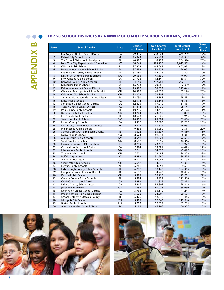## $\bullet$ **B Appendix**

### **Top 50 School Districts by Number of Charter School Students, 2010-2011**

| <b>Rank</b>    | <b>School District</b>                  | <b>State</b>    | <b>Charter</b><br><b>Enrollment</b> | <b>Non-Charter</b><br><b>Enrollment</b> | <b>Total District</b><br><b>Enrollment</b> | Charter<br><b>Market</b><br><b>Share</b> |
|----------------|-----------------------------------------|-----------------|-------------------------------------|-----------------------------------------|--------------------------------------------|------------------------------------------|
| $\mathbf{1}$   | Los Angeles Unified School District     | CA              | 79,385                              | 588,824                                 | 668,209                                    | 12%                                      |
| $\overline{2}$ | Detroit City School District            | MI              | 45,073                              | 75,264                                  | 120,337                                    | 37%                                      |
| 3              | The School District of Philadelphia     | PA              | 40,322                              | 166,272                                 | 206,594                                    | 20%                                      |
| $\overline{4}$ | New York City Department of Education   | <b>NY</b>       | 38,743                              | 973,210                                 | 1,011,953                                  | 4%                                       |
| 5              | Chicago Public Schools                  | IL              | 37,909                              | 365,069                                 | 402.978                                    | 9%                                       |
| 6              | Houston Independent School District     | <b>TX</b>       | 37,499                              | 188,553                                 | 226,052                                    | 17%                                      |
| $\overline{7}$ | Miami-Dade County Public Schools        | FL              | 35,380                              | 312,026                                 | 347,406                                    | 10%                                      |
| 8              | District Of Columbia Public Schools     | DC              | 29,366                              | 45,630                                  | 74,996                                     | 39%                                      |
| 9              | New Orleans Public Schools              | LA              | 27,728                              | 12,149                                  | 39,877                                     | 70%                                      |
| 10             | <b>Broward County Public Schools</b>    | FL              | 24,150                              | 232,981                                 | 257,131                                    | 9%                                       |
| 11             | Milwaukee Public Schools                | WI              | 16,798                              | 70,582                                  | 87,380                                     | 19%                                      |
| 12             | Dallas Independent School District      | <b>TX</b>       | 15,522                              | 156,523                                 | 172,045                                    | 9%                                       |
| 13             | Cleveland Metropolitan School District  | OH              | 14,310                              | 46,818                                  | 61,128                                     | 23%                                      |
| 14             | Columbus City School District           | OH              | 13,028                              | 52,102                                  | 65,129                                     | 20%                                      |
| 15             | San Antonio Independent School District | <b>TX</b>       | 12,730                              | 46,782                                  | 59,512                                     | 21%                                      |
| 16             | Mesa Public Schools                     | <b>AZ</b>       | 12,574                              | 66,144                                  | 78,718                                     | 16%                                      |
| 17             | San Diego Unified School District       | CA              | 12,423                              | 119,010                                 | 131,433                                    | 9%                                       |
| 18             | <b>Tucson Unified School District</b>   | <b>AZ</b>       | 11,414                              | 53,730                                  | 65,144                                     | 18%                                      |
| 19             | Polk County Public Schools              | FL.             | 10,736                              | 84,442                                  | 95,178                                     | 11%                                      |
| 20             | <b>Baltimore City Public Schools</b>    | <b>MD</b>       | 10,704                              | 73,096                                  | 83,800                                     | 13%                                      |
| 21             | Lee County Public Schools               | FL.             | 10,640                              | 71,325                                  | 81,965                                     | 13%                                      |
| 22             | Saint Louis Public Schools              | <b>MO</b>       | 10,406                              | 25,084                                  | 35,490                                     | 29%                                      |
| 23             | <b>Fulton County Schools</b>            | GA              | 9,437                               | 82,800                                  | 92,237                                     | 10%                                      |
| 24             | Kansas City, Missouri School District   | <b>MO</b>       | 9,312                               | 17,326                                  | 26,638                                     | 35%                                      |
| 25             | Indianapolis Public Schools             | IN              | 9,238                               | 33,080                                  | 42,318                                     | 22%                                      |
| 26             | School District Of Palm Beach County    | FL              | 8,822                               | 165,837                                 | 174,659                                    | 5%                                       |
| 27             | Denver Public Schools                   | CO              | 8,573                               | 69,744                                  | 78,317                                     | 11%                                      |
| 28             | Albuquerque Public Schools              | <b>NM</b>       | 8,559                               | 89,074                                  | 97,633                                     | 9%                                       |
| 29             | Saint Paul Public Schools               | <b>MN</b>       | 8,507                               | 37,859                                  | 46,366                                     | 18%                                      |
| 30             | Hawaii Department Of Education          | H <sub>II</sub> | 8,289                               | 173,633                                 | 181,922                                    | 5%                                       |
| 31             | Oakland Unified School District         | CA              | 7,894                               | 38,581                                  | 46,475                                     | 17%                                      |
| 32             | Minneapolis Public Schools              | <b>MN</b>       | 7,761                               | 34,336                                  | 42,097                                     | 18%                                      |
| 33             | <b>Toledo Public Schools</b>            | OH              | 7,721                               | 26,488                                  | 34,209                                     | 23%                                      |
| 34             | <b>Buffalo City Schools</b>             | <b>NY</b>       | 6,986                               | 31,590                                  | 38,576                                     | 18%                                      |
| 35             | Alpine School District                  | UT              | 6,711                               | 66,045                                  | 72,756                                     | 9%                                       |
| 36             | Cincinnati Public Schools               | OH              | 6,642                               | 34,742                                  | 41,384                                     | 16%                                      |
| 37             | Newark Public Schools                   | ΝI              | 6,281                               | 33,253                                  | 39,534                                     | 16%                                      |
| 38             | Hillsborough County Public Schools      | FL.             | 6,207                               | 188,146                                 | 194,353                                    | 3%                                       |
| 39             | Irving Independent School District      | <b>TX</b>       | 6,192                               | 34,243                                  | 40,435                                     | 15%                                      |
| 40             | Dayton Public Schools                   | OH              | 5,995                               | 16,256                                  | 22,251                                     | 27%                                      |
| 41             | Orange County Public Schools            | FL              | 5,994                               | 169,992                                 | 175,986                                    | 3%                                       |
| 42             | Cobb County School District             | GA              | 5,986                               | 101,329                                 | 107,315                                    | 6%                                       |
| 43             | Dekalb County School System             | GA              | 5,947                               | 92,302                                  | 98,249                                     | 6%                                       |
| 44             | Jeffco Public Schools                   | CO              | 5,852                               | 80,078                                  | 85,930                                     | 7%                                       |
| 45             | Deer Valley Unified School District     | AZ              | 5,736                               | 35,510                                  | 41,246                                     | 14%                                      |
| 46             | Phoenix Union High School District      | <b>AZ</b>       | 5,622                               | 24,009                                  | 29,631                                     | 19%                                      |
| 47             | School District Of Osceola County       | <b>FL</b>       | 5,426                               | 48,040                                  | 53,466                                     | 10%                                      |
| 48<br>49       | Memphis City Schools                    | <b>TN</b>       | 5,405                               | 106,563                                 | 111,968                                    | 5%                                       |
|                | <b>Boston Public Schools</b>            | MA              | 5,202                               | 56,037                                  | 61,239                                     | 8%                                       |
| 50             | Alief Independent School District       | <b>TX</b>       | 5,189                               | 45,768                                  | 50,957                                     | 10%                                      |



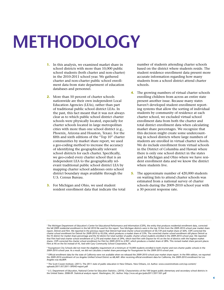# **Methodology**

- **1.** In this analysis, we examined market share in school districts with more than 10,000 public school students (both charter and non-charter) in the 2010-2011 school year. We gathered charter and non-charter public school enrollment data from state department of education databases and personnel.
- **2.** More than 50 percent of charter schools nationwide are their own independent Local Education Agencies (LEAs), rather than part of traditional public school district LEAs. In the past, this fact meant that it was not always clear as to which public school district charter schools were physically located, especially for charter schools located in large metropolitan cities with more than one school district (e.g., Phoenix, Arizona and Houston, Texas). For the fifth and sixth editions of the "Top 10" charter communities by market share report, we used a geo-coding method to increase the accuracy of identifying the geographically relevant school districts for each charter. Specifically, we geo-coded every charter school that is an independent LEA to the geographically relevant traditional public school district LEA by mapping charter school addresses onto school district boundary maps available through the U.S. Census Bureau.
- **3.** For Michigan and Ohio, we used student resident enrollment data that indicate the total

number of students attending charter schools based on the district where students reside. The student residence enrollment data present more accurate information regarding how many students from a school district attend charter schools.

- **4.** The growing numbers of virtual charter schools enrolling children from across an entire state present another issue. Because many states haven't developed student enrollment reporting systems that allow the sorting of individual students by community of residence at each charter school, we excluded virtual school enrollment data from both the charter and total district enrollment data when calculating market share percentages. We recognize that this decision might create some undercounting in school districts where large numbers of students are enrolled in virtual charter schools. We do include enrollment from virtual schools in the District of Columbia and Hawaii where there is only one school district in the states and in Michigan and Ohio where we have resident enrollment data and we know the district where students live.
- **5.** The approximate number of 420,000 students on waiting lists to attend charter schools was estimated from a national survey of charter schools during the 2009-2010 school year with a 30 percent response rate.

' The Michigan Department of Education's Center for Educational Performance and Information (CEPI), the entity that produces residential enrollment data, corrected<br>the fall 2009 residential enrollment in the fall 2010 file report, Detroit and Flint. We reported in the previous report that Detroit had total charter school enrollment of 50,139 and market share of 36%. CEPI corrected the<br>charter school enrollment for Detroit for 2009-2010 to 45 that Flint had total charter school enrollment of 5,270 and market share of 29%, which tied Flint with Dayton for #5 on the list of districts with the highest market shares. CEPI corrected the charter school enrollment for Flint for 2009-2010 to 4,907, which produces a market share of 28%. This revised market share percent places Flint at #6 on the list instead of #5, tied with Gary Community School Corporation, IN.

" Youngstown City Schools did not meet the eligibility requirement of a minimum of 10,000 students enrolled in both charter and non-charter public schools in the<br>2009-2010 school year. As a result, we did not calculate a m

iii Official enrollment data for the state of California were not available when we released the 2009-2010 school year market share report. In the fifth edition, we reported the 2009-2010 enrollment of Los Angeles Unified School District as 68,469. After receiving official enrollment data for California, the 2009-2010 enrollment for Los Angeles was 66,809.

iv The Scott Cowen Institute. (2011). The 2011 state of public education in New Orleans. New Orleans, LA: Author. www.coweninstitute.com/wp-content/ uploads/2011/07/2011-SPENO-report.pdf

v U.S. Department of Education, National Center for Education Statistics. (2010). Characteristics of the 100 largest public elementary and secondary school districts in the United States: 2008-09. Statistical analysis report. Washington, DC: Author. http://nces.ed.gov/pubs2011/2011301.pdf